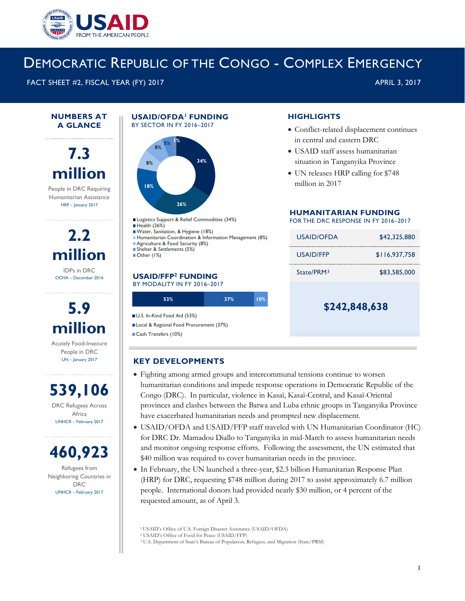

# DEMOCRATIC REPUBLIC OF THE CONGO - COMPLEX EMERGENCY

FACT SHEET #2, FISCAL YEAR (FY) 2017 APRIL 3, 2017 APRIL 3, 2017

**NUMBERS AT A GLANCE**

# **7.3 million**

People in DRC Requiring Humanitarian Assistance HRP – January 2017

# **2.2 million**

IDPs in DRC OCHA – December 2016

# **5.9 million**

Acutely Food-Insecure People in DRC UN – January 2017

# **539,106** DRC Refugees Across

Africa UNHCR – February 2017

# **460,923**

<span id="page-0-0"></span>Refugees from Neighboring Countries in DRC UNHCR – February 2017

#### **USAID/OFDA1 FUNDING**  BY SECTOR IN FY 2016–2017



Logistics Support & Relief Commodities (34%) Health (26%) Water, Sanitation, & Hygiene (18%) **Humanitarian Coordination & Information Management (8%)** Agriculture & Food Security (8%)

#### **USAID/FFP2 FUNDING** BY MODALITY IN FY 2016–2017

**53% 37% 10%**

- U.S. In-Kind Food Aid (53%)
- Local & Regional Food Procurement (37%)

Cash Transfers (10%)

# **KEY DEVELOPMENTS**

- Fighting among armed groups and intercommunal tensions continue to worsen humanitarian conditions and impede response operations in Democratic Republic of the Congo (DRC). In particular, violence in Kasaï, Kasaï-Central, and Kasaï-Oriental provinces and clashes between the Batwa and Luba ethnic groups in Tanganyika Province have exacerbated humanitarian needs and prompted new displacement.
- USAID/OFDA and USAID/FFP staff traveled with UN Humanitarian Coordinator (HC) for DRC Dr. Mamadou Diallo to Tanganyika in mid-March to assess humanitarian needs and monitor ongoing response efforts. Following the assessment, the UN estimated that \$40 million was required to cover humanitarian needs in the province.
- In February, the UN launched a three-year, \$2.3 billion Humanitarian Response Plan (HRP) for DRC, requesting \$748 million during 2017 to assist approximately 6.7 million people. International donors had provided nearly \$30 million, or 4 percent of the requested amount, as of April 3.

1 USAID's Office of U.S. Foreign Disaster Assistance (USAID/OFDA)

<sup>3</sup> U.S. Department of State's Bureau of Population, Refugees, and Migration (State/PRM)

# **HIGHLIGHTS**

- Conflict-related displacement continues in central and eastern DRC
- USAID staff assess humanitarian situation in Tanganyika Province
- UN releases HRP calling for \$748 million in 2017

#### **HUMANITARIAN FUNDING**

FOR THE DRC RESPONSE IN FY 2016–2017

| <b>USAID/OFDA</b> | \$42,325,880  |
|-------------------|---------------|
| <b>USAID/FFP</b>  | \$116,937,758 |
| State/PRM3        | \$83,585,000  |
|                   |               |

**\$242,848,638**

Shelter & Settlements (5%) Other (1%)

<sup>2</sup> USAID's Office of Food for Peace (USAID/FFP)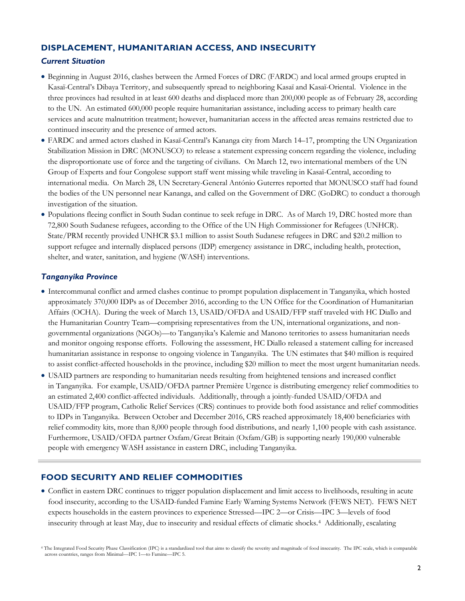### **DISPLACEMENT, HUMANITARIAN ACCESS, AND INSECURITY**

### *Current Situation*

- Beginning in August 2016, clashes between the Armed Forces of DRC (FARDC) and local armed groups erupted in Kasaï-Central's Dibaya Territory, and subsequently spread to neighboring Kasaï and Kasaï-Oriental. Violence in the three provinces had resulted in at least 600 deaths and displaced more than 200,000 people as of February 28, according to the UN. An estimated 600,000 people require humanitarian assistance, including access to primary health care services and acute malnutrition treatment; however, humanitarian access in the affected areas remains restricted due to continued insecurity and the presence of armed actors.
- FARDC and armed actors clashed in Kasaï-Central's Kananga city from March 14–17, prompting the UN Organization Stabilization Mission in DRC (MONUSCO) to release a statement expressing concern regarding the violence, including the disproportionate use of force and the targeting of civilians. On March 12, two international members of the UN Group of Experts and four Congolese support staff went missing while traveling in Kasaï-Central, according to international media. On March 28, UN Secretary-General António Guterres reported that MONUSCO staff had found the bodies of the UN personnel near Kananga, and called on the Government of DRC (GoDRC) to conduct a thorough investigation of the situation.
- Populations fleeing conflict in South Sudan continue to seek refuge in DRC. As of March 19, DRC hosted more than 72,800 South Sudanese refugees, according to the Office of the UN High Commissioner for Refugees (UNHCR). State/PRM recently provided UNHCR \$3.1 million to assist South Sudanese refugees in DRC and \$20.2 million to support refugee and internally displaced persons (IDP) emergency assistance in DRC, including health, protection, shelter, and water, sanitation, and hygiene (WASH) interventions.

### *Tanganyika Province*

- Intercommunal conflict and armed clashes continue to prompt population displacement in Tanganyika, which hosted approximately 370,000 IDPs as of December 2016, according to the UN Office for the Coordination of Humanitarian Affairs (OCHA). During the week of March 13, USAID/OFDA and USAID/FFP staff traveled with HC Diallo and the Humanitarian Country Team—comprising representatives from the UN, international organizations, and nongovernmental organizations (NGOs)—to Tanganyika's Kalemie and Manono territories to assess humanitarian needs and monitor ongoing response efforts. Following the assessment, HC Diallo released a statement calling for increased humanitarian assistance in response to ongoing violence in Tanganyika. The UN estimates that \$40 million is required to assist conflict-affected households in the province, including \$20 million to meet the most urgent humanitarian needs.
- USAID partners are responding to humanitarian needs resulting from heightened tensions and increased conflict in Tanganyika. For example, USAID/OFDA partner Première Urgence is distributing emergency relief commodities to an estimated 2,400 conflict-affected individuals. Additionally, through a jointly-funded USAID/OFDA and USAID/FFP program, Catholic Relief Services (CRS) continues to provide both food assistance and relief commodities to IDPs in Tanganyika. Between October and December 2016, CRS reached approximately 18,400 beneficiaries with relief commodity kits, more than 8,000 people through food distributions, and nearly 1,100 people with cash assistance. Furthermore, USAID/OFDA partner Oxfam/Great Britain (Oxfam/GB) is supporting nearly 190,000 vulnerable people with emergency WASH assistance in eastern DRC, including Tanganyika.

### **FOOD SECURITY AND RELIEF COMMODITIES**

• Conflict in eastern DRC continues to trigger population displacement and limit access to livelihoods, resulting in acute food insecurity, according to the USAID-funded Famine Early Warning Systems Network (FEWS NET). FEWS NET expects households in the eastern provinces to experience Stressed—IPC 2—or Crisis—IPC 3—levels of food insecurity through at least May, due to insecurity and residual effects of climatic shocks.[4](#page-1-0) Additionally, escalating

<span id="page-1-0"></span><sup>4</sup> The Integrated Food Security Phase Classification (IPC) is a standardized tool that aims to classify the severity and magnitude of food insecurity. The IPC scale, which is comparable across countries, ranges from Minimal—IPC 1—to Famine—IPC 5.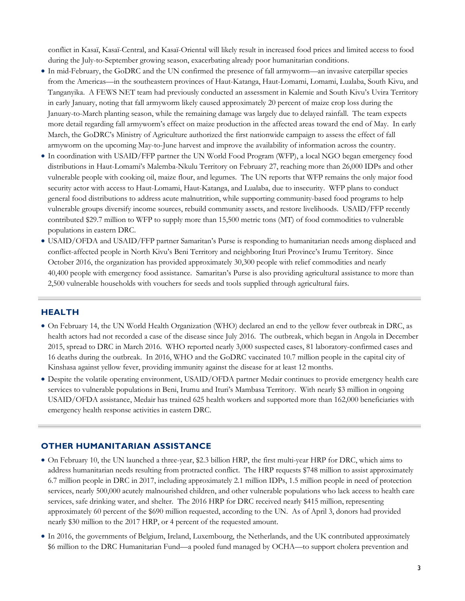conflict in Kasaï, Kasaï-Central, and Kasaï-Oriental will likely result in increased food prices and limited access to food during the July-to-September growing season, exacerbating already poor humanitarian conditions.

- In mid-February, the GoDRC and the UN confirmed the presence of fall armyworm—an invasive caterpillar species from the Americas—in the southeastern provinces of Haut-Katanga, Haut-Lomami, Lomami, Lualaba, South Kivu, and Tanganyika. A FEWS NET team had previously conducted an assessment in Kalemie and South Kivu's Uvira Territory in early January, noting that fall armyworm likely caused approximately 20 percent of maize crop loss during the January-to-March planting season, while the remaining damage was largely due to delayed rainfall. The team expects more detail regarding fall armyworm's effect on maize production in the affected areas toward the end of May. In early March, the GoDRC's Ministry of Agriculture authorized the first nationwide campaign to assess the effect of fall armyworm on the upcoming May-to-June harvest and improve the availability of information across the country.
- In coordination with USAID/FFP partner the UN World Food Program (WFP), a local NGO began emergency food distributions in Haut-Lomami's Malemba-Nkulu Territory on February 27, reaching more than 26,000 IDPs and other vulnerable people with cooking oil, maize flour, and legumes. The UN reports that WFP remains the only major food security actor with access to Haut-Lomami, Haut-Katanga, and Lualaba, due to insecurity. WFP plans to conduct general food distributions to address acute malnutrition, while supporting community-based food programs to help vulnerable groups diversify income sources, rebuild community assets, and restore livelihoods. USAID/FFP recently contributed \$29.7 million to WFP to supply more than 15,500 metric tons (MT) of food commodities to vulnerable populations in eastern DRC.
- USAID/OFDA and USAID/FFP partner Samaritan's Purse is responding to humanitarian needs among displaced and conflict-affected people in North Kivu's Beni Territory and neighboring Ituri Province's Irumu Territory. Since October 2016, the organization has provided approximately 30,300 people with relief commodities and nearly 40,400 people with emergency food assistance. Samaritan's Purse is also providing agricultural assistance to more than 2,500 vulnerable households with vouchers for seeds and tools supplied through agricultural fairs.

#### **HEALTH**

- On February 14, the UN World Health Organization (WHO) declared an end to the yellow fever outbreak in DRC, as health actors had not recorded a case of the disease since July 2016. The outbreak, which began in Angola in December 2015, spread to DRC in March 2016. WHO reported nearly 3,000 suspected cases, 81 laboratory-confirmed cases and 16 deaths during the outbreak. In 2016, WHO and the GoDRC vaccinated 10.7 million people in the capital city of Kinshasa against yellow fever, providing immunity against the disease for at least 12 months.
- Despite the volatile operating environment, USAID/OFDA partner Medair continues to provide emergency health care services to vulnerable populations in Beni, Irumu and Ituri's Mambasa Territory. With nearly \$3 million in ongoing USAID/OFDA assistance, Medair has trained 625 health workers and supported more than 162,000 beneficiaries with emergency health response activities in eastern DRC.

#### **OTHER HUMANITARIAN ASSISTANCE**

- On February 10, the UN launched a three-year, \$2.3 billion HRP, the first multi-year HRP for DRC, which aims to address humanitarian needs resulting from protracted conflict. The HRP requests \$748 million to assist approximately 6.7 million people in DRC in 2017, including approximately 2.1 million IDPs, 1.5 million people in need of protection services, nearly 500,000 acutely malnourished children, and other vulnerable populations who lack access to health care services, safe drinking water, and shelter. The 2016 HRP for DRC received nearly \$415 million, representing approximately 60 percent of the \$690 million requested, according to the UN. As of April 3, donors had provided nearly \$30 million to the 2017 HRP, or 4 percent of the requested amount.
- In 2016, the governments of Belgium, Ireland, Luxembourg, the Netherlands, and the UK contributed approximately \$6 million to the DRC Humanitarian Fund—a pooled fund managed by OCHA—to support cholera prevention and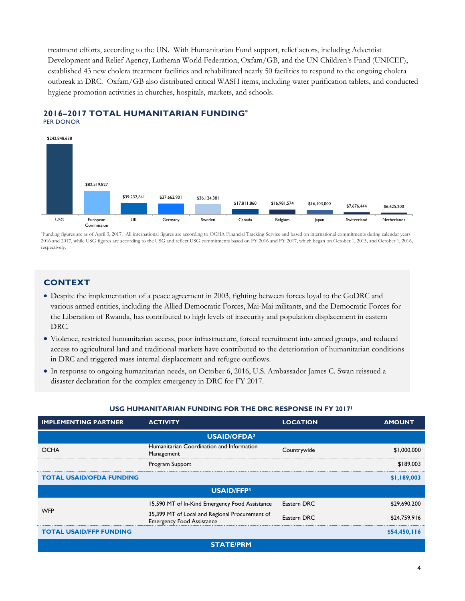treatment efforts, according to the UN. With Humanitarian Fund support, relief actors, including Adventist Development and Relief Agency, Lutheran World Federation, Oxfam/GB, and the UN Children's Fund (UNICEF), established 43 new cholera treatment facilities and rehabilitated nearly 50 facilities to respond to the ongoing cholera outbreak in DRC. Oxfam/GB also distributed critical WASH items, including water purification tablets, and conducted hygiene promotion activities in churches, hospitals, markets, and schools.

# **2016–2017 TOTAL HUMANITARIAN FUNDING\***

PER DONOR



\*Funding figures are as of April 3, 2017. All international figures are according to OCHA Financial Tracking Service and based on international commitments during calendar years 2016 and 2017, while USG figures are according to the USG and reflect USG commitments based on FY 2016 and FY 2017, which began on October 1, 2015, and October 1, 2016, respectively.

# **CONTEXT**

- Despite the implementation of a peace agreement in 2003, fighting between forces loyal to the GoDRC and various armed entities, including the Allied Democratic Forces, Mai-Mai militants, and the Democratic Forces for the Liberation of Rwanda, has contributed to high levels of insecurity and population displacement in eastern DRC.
- Violence, restricted humanitarian access, poor infrastructure, forced recruitment into armed groups, and reduced access to agricultural land and traditional markets have contributed to the deterioration of humanitarian conditions in DRC and triggered mass internal displacement and refugee outflows.
- In response to ongoing humanitarian needs, on October 6, 2016, U.S. Ambassador James C. Swan reissued a disaster declaration for the complex emergency in DRC for FY 2017.

| <b>IMPLEMENTING PARTNER</b>     | <b>ACTIVITY</b>                                                                    | <b>LOCATION</b> | <b>AMOUNT</b> |
|---------------------------------|------------------------------------------------------------------------------------|-----------------|---------------|
| <b>USAID/OFDA<sup>2</sup></b>   |                                                                                    |                 |               |
| <b>OCHA</b>                     | Humanitarian Coordination and Information<br>Management                            | Countrywide     | \$1,000,000   |
|                                 | Program Support                                                                    |                 | \$189,003     |
| <b>TOTAL USAID/OFDA FUNDING</b> |                                                                                    |                 | \$1,189,003   |
| <b>USAID/FFP3</b>               |                                                                                    |                 |               |
| <b>WFP</b>                      | 15,590 MT of In-Kind Emergency Food Assistance                                     | Eastern DRC     | \$29,690,200  |
|                                 | 35,399 MT of Local and Regional Procurement of<br><b>Emergency Food Assistance</b> | Eastern DRC     | \$24,759,916  |
| <b>TOTAL USAID/FFP FUNDING</b>  |                                                                                    |                 | \$54,450,116  |
| <b>STATE/PRM</b>                |                                                                                    |                 |               |

#### **USG HUMANITARIAN FUNDING FOR THE DRC RESPONSE IN FY 20171**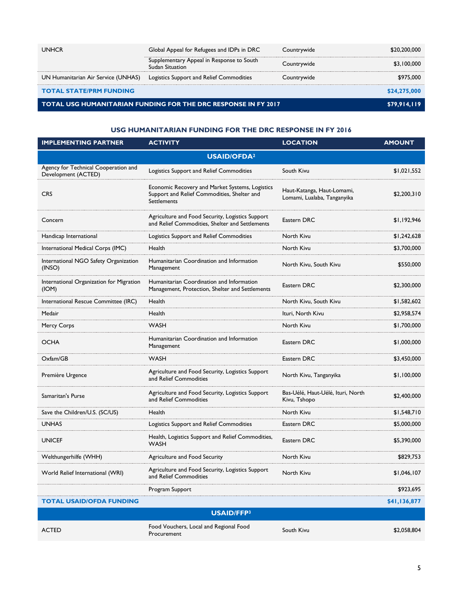| <b>UNHCR</b>                                                   | Global Appeal for Refugees and IDPs in DRC                   | Countrywide  | \$20,200,000 |
|----------------------------------------------------------------|--------------------------------------------------------------|--------------|--------------|
|                                                                | Supplementary Appeal in Response to South<br>Sudan Situation | Countrywide  | \$3.100,000  |
| UN Humanitarian Air Service (UNHAS)                            | Logistics Support and Relief Commodities                     | Countrywide  | \$975,000    |
| <b>TOTAL STATE/PRM FUNDING</b>                                 |                                                              |              | \$24,275,000 |
| TOTAL USG HUMANITARIAN FUNDING FOR THE DRC RESPONSE IN FY 2017 |                                                              | \$79,914,119 |              |

### **USG HUMANITARIAN FUNDING FOR THE DRC RESPONSE IN FY 2016**

| <b>IMPLEMENTING PARTNER</b>                                 | <b>ACTIVITY</b>                                                                                               | <b>LOCATION</b>                                           | <b>AMOUNT</b> |
|-------------------------------------------------------------|---------------------------------------------------------------------------------------------------------------|-----------------------------------------------------------|---------------|
|                                                             | <b>USAID/OFDA<sup>2</sup></b>                                                                                 |                                                           |               |
| Agency for Technical Cooperation and<br>Development (ACTED) | Logistics Support and Relief Commodities                                                                      | South Kivu                                                | \$1,021,552   |
| <b>CRS</b>                                                  | Economic Recovery and Market Systems, Logistics<br>Support and Relief Commodities, Shelter and<br>Settlements | Haut-Katanga, Haut-Lomami,<br>Lomami, Lualaba, Tanganyika | \$2,200,310   |
| Concern                                                     | Agriculture and Food Security, Logistics Support<br>and Relief Commodities, Shelter and Settlements           | Eastern DRC                                               | \$1,192,946   |
| Handicap International                                      | Logistics Support and Relief Commodities                                                                      | North Kivu                                                | \$1,242,628   |
| International Medical Corps (IMC)                           | Health                                                                                                        | North Kivu                                                | \$3,700,000   |
| International NGO Safety Organization<br>(INSO)             | Humanitarian Coordination and Information<br>Management                                                       | North Kivu, South Kivu                                    | \$550,000     |
| International Organization for Migration<br>(IOM)           | Humanitarian Coordination and Information<br>Management, Protection, Shelter and Settlements                  | Eastern DRC                                               | \$2,300,000   |
| International Rescue Committee (IRC)                        | Health                                                                                                        | North Kivu, South Kivu                                    | \$1,582,602   |
| Medair                                                      | Health                                                                                                        | Ituri, North Kivu                                         | \$2,958,574   |
| Mercy Corps                                                 | WASH                                                                                                          | North Kivu                                                | \$1,700,000   |
| <b>OCHA</b>                                                 | Humanitarian Coordination and Information<br>Management                                                       | Eastern DRC                                               | \$1,000,000   |
| Oxfam/GB                                                    | <b>WASH</b>                                                                                                   | Eastern DRC                                               | \$3,450,000   |
| Première Urgence                                            | Agriculture and Food Security, Logistics Support<br>and Relief Commodities                                    | North Kivu, Tanganyika                                    | \$1,100,000   |
| Samaritan's Purse                                           | Agriculture and Food Security, Logistics Support<br>and Relief Commodities                                    | Bas-Uélé, Haut-Uélé, Ituri, North<br>Kivu, Tshopo         | \$2,400,000   |
| Save the Children/U.S. (SC/US)                              | Health                                                                                                        | North Kivu                                                | \$1,548,710   |
| UNHAS                                                       | Logistics Support and Relief Commodities                                                                      | Eastern DRC                                               | \$5,000,000   |
| <b>UNICEF</b>                                               | Health, Logistics Support and Relief Commodities,<br><b>WASH</b>                                              | Eastern DRC                                               | \$5,390,000   |
| Welthungerhilfe (WHH)                                       | Agriculture and Food Security                                                                                 | North Kivu                                                | \$829,753     |
| World Relief International (WRI)                            | Agriculture and Food Security, Logistics Support<br>and Relief Commodities                                    | North Kivu                                                | \$1,046,107   |
|                                                             | Program Support                                                                                               |                                                           | \$923,695     |
| <b>TOTAL USAID/OFDA FUNDING</b>                             |                                                                                                               |                                                           | \$41,136,877  |
| USAID/FFP3                                                  |                                                                                                               |                                                           |               |
| <b>ACTED</b>                                                | Food Vouchers, Local and Regional Food<br>Procurement                                                         | South Kivu                                                | \$2,058,804   |